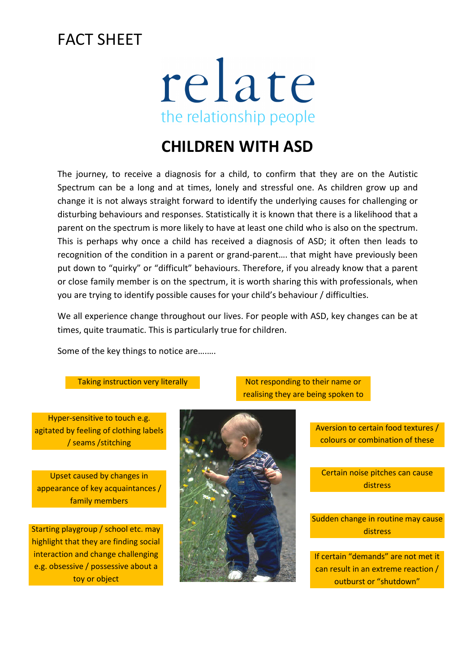### FACT SHEFT

# relate the relationship people

### **CHILDREN WITH ASD**

The journey, to receive a diagnosis for a child, to confirm that they are on the Autistic Spectrum can be a long and at times, lonely and stressful one. As children grow up and change it is not always straight forward to identify the underlying causes for challenging or disturbing behaviours and responses. Statistically it is known that there is a likelihood that a parent on the spectrum is more likely to have at least one child who is also on the spectrum. This is perhaps why once a child has received a diagnosis of ASD; it often then leads to recognition of the condition in a parent or grand-parent…. that might have previously been put down to "quirky" or "difficult" behaviours. Therefore, if you already know that a parent or close family member is on the spectrum, it is worth sharing this with professionals, when you are trying to identify possible causes for your child's behaviour / difficulties.

We all experience change throughout our lives. For people with ASD, key changes can be at times, quite traumatic. This is particularly true for children.

Some of the key things to notice are….….

Hyper-sensitive to touch e.g. agitated by feeling of clothing labels / seams /stitching

Upset caused by changes in appearance of key acquaintances / family members

highlight that they are finding social interaction and change challenging e.g. obsessive / possessive about a toy or object



Taking instruction very literally Not responding to their name or realising they are being spoken to

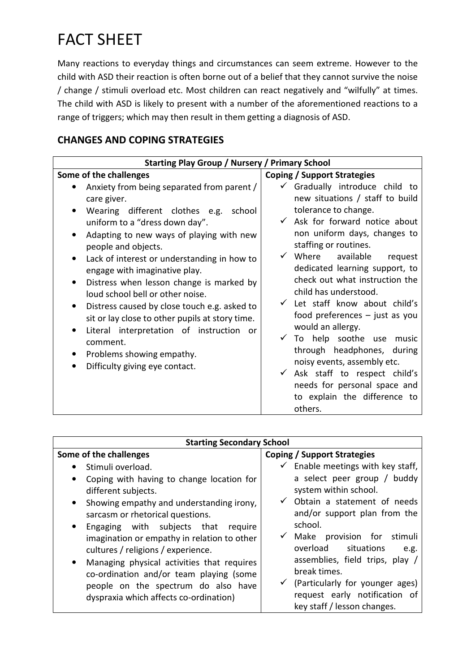## FACT SHEET

Many reactions to everyday things and circumstances can seem extreme. However to the child with ASD their reaction is often borne out of a belief that they cannot survive the noise / change / stimuli overload etc. Most children can react negatively and "wilfully" at times. The child with ASD is likely to present with a number of the aforementioned reactions to a range of triggers; which may then result in them getting a diagnosis of ASD.

| <b>Starting Play Group / Nursery / Primary School</b> |                                                                                                                                                                                                                                                                                                                                                                                                                                                                                                                                                                                                      |                                    |                                                                                                                                                                                                                                                                                                                                                                                                                                                                                                                                                                                                                                    |  |  |
|-------------------------------------------------------|------------------------------------------------------------------------------------------------------------------------------------------------------------------------------------------------------------------------------------------------------------------------------------------------------------------------------------------------------------------------------------------------------------------------------------------------------------------------------------------------------------------------------------------------------------------------------------------------------|------------------------------------|------------------------------------------------------------------------------------------------------------------------------------------------------------------------------------------------------------------------------------------------------------------------------------------------------------------------------------------------------------------------------------------------------------------------------------------------------------------------------------------------------------------------------------------------------------------------------------------------------------------------------------|--|--|
| Some of the challenges                                |                                                                                                                                                                                                                                                                                                                                                                                                                                                                                                                                                                                                      | <b>Coping / Support Strategies</b> |                                                                                                                                                                                                                                                                                                                                                                                                                                                                                                                                                                                                                                    |  |  |
| ٠<br>$\bullet$<br>$\bullet$                           | Anxiety from being separated from parent /<br>care giver.<br>Wearing different clothes e.g.<br>school<br>uniform to a "dress down day".<br>Adapting to new ways of playing with new<br>people and objects.<br>Lack of interest or understanding in how to<br>engage with imaginative play.<br>Distress when lesson change is marked by<br>loud school bell or other noise.<br>Distress caused by close touch e.g. asked to<br>sit or lay close to other pupils at story time.<br>Literal interpretation of instruction or<br>comment.<br>Problems showing empathy.<br>Difficulty giving eye contact. | $\checkmark$<br>$\checkmark$       | $\checkmark$ Gradually introduce child to<br>new situations / staff to build<br>tolerance to change.<br>$\checkmark$ Ask for forward notice about<br>non uniform days, changes to<br>staffing or routines.<br>Where available<br>request<br>dedicated learning support, to<br>check out what instruction the<br>child has understood.<br>Let staff know about child's<br>food preferences $-$ just as you<br>would an allergy.<br>To help soothe use music<br>through headphones, during<br>noisy events, assembly etc.<br>Ask staff to respect child's<br>needs for personal space and<br>to explain the difference to<br>others. |  |  |

### **CHANGES AND COPING STRATEGIES**

| <b>Starting Secondary School</b>                                                                                                                                                                                                                                                                                                                                                                                                                                                                                                   |                                                                                                                                                                                                                                                                                                                                                                                                                                                      |  |  |  |
|------------------------------------------------------------------------------------------------------------------------------------------------------------------------------------------------------------------------------------------------------------------------------------------------------------------------------------------------------------------------------------------------------------------------------------------------------------------------------------------------------------------------------------|------------------------------------------------------------------------------------------------------------------------------------------------------------------------------------------------------------------------------------------------------------------------------------------------------------------------------------------------------------------------------------------------------------------------------------------------------|--|--|--|
| Some of the challenges                                                                                                                                                                                                                                                                                                                                                                                                                                                                                                             | <b>Coping / Support Strategies</b>                                                                                                                                                                                                                                                                                                                                                                                                                   |  |  |  |
| Stimuli overload.<br>Coping with having to change location for<br>$\bullet$<br>different subjects.<br>Showing empathy and understanding irony,<br>$\bullet$<br>sarcasm or rhetorical questions.<br>Engaging with subjects that<br>require<br>$\bullet$<br>imagination or empathy in relation to other<br>cultures / religions / experience.<br>Managing physical activities that requires<br>$\bullet$<br>co-ordination and/or team playing (some<br>people on the spectrum do also have<br>dyspraxia which affects co-ordination) | $\checkmark$ Enable meetings with key staff,<br>a select peer group / buddy<br>system within school.<br>Obtain a statement of needs<br>$\checkmark$<br>and/or support plan from the<br>school.<br>Make provision for stimuli<br>$\checkmark$<br>overload<br>situations<br>e.g.<br>assemblies, field trips, play /<br>break times.<br>(Particularly for younger ages)<br>$\checkmark$<br>request early notification of<br>key staff / lesson changes. |  |  |  |